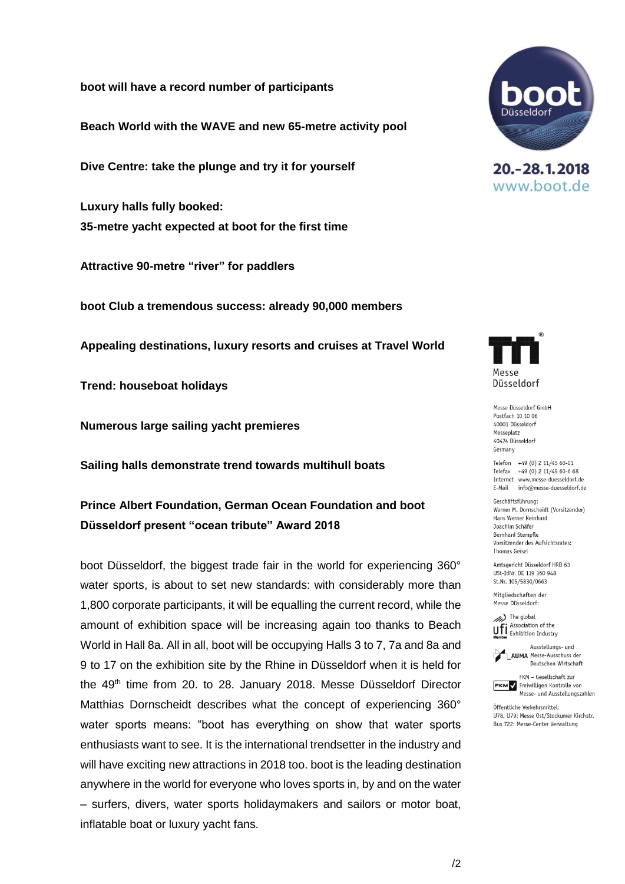**boot will have a record number of participants**

**Beach World with the WAVE and new 65-metre activity pool**

**Dive Centre: take the plunge and try it for yourself**

**Luxury halls fully booked: 35-metre yacht expected at boot for the first time**

**Attractive 90-metre "river" for paddlers**

**boot Club a tremendous success: already 90,000 members**

**Appealing destinations, luxury resorts and cruises at Travel World**

**Trend: houseboat holidays**

**Numerous large sailing yacht premieres**

**Sailing halls demonstrate trend towards multihull boats**

**Prince Albert Foundation, German Ocean Foundation and boot Düsseldorf present "ocean tribute" Award 2018**

boot Düsseldorf, the biggest trade fair in the world for experiencing 360° water sports, is about to set new standards: with considerably more than 1,800 corporate participants, it will be equalling the current record, while the amount of exhibition space will be increasing again too thanks to Beach World in Hall 8a. All in all, boot will be occupying Halls 3 to 7, 7a and 8a and 9 to 17 on the exhibition site by the Rhine in Düsseldorf when it is held for the 49<sup>th</sup> time from 20. to 28. January 2018. Messe Düsseldorf Director Matthias Dornscheidt describes what the concept of experiencing 360° water sports means: "boot has everything on show that water sports enthusiasts want to see. It is the international trendsetter in the industry and will have exciting new attractions in 2018 too. boot is the leading destination anywhere in the world for everyone who loves sports in, by and on the water – surfers, divers, water sports holidaymakers and sailors or motor boat, inflatable boat or luxury yacht fans.



20. - 28. 1. 2018 www.boot.de



Messe Düsseldorf GmbH Postfach 10 10 06 40001 Diisseldorf Messeplatz 40474 Diisseldorf Germany

Telefon +49 (0) 2 11/45 60-01 Telefax +49 (0) 2 11/45 60-6 68 Internet www.messe-duesseldorf.de E-Mail info@messe-duesseldorf.de

Geschäftsführung: Werner M. Dornscheidt (Vorsitzender) Hans Werner Reinhard Joachim Schäfer **Bernhard Stempfle** Vorsitzender des Aufsichtsrates: **Thomas Geisel** 

Amtsgericht Düsseldorf HRB 63 USt-IdNr. DE 119 360 948 St.Nr. 105/5830/0663

Mitgliedschaften der Messe Düsseldorf:

(//// The global Association of the **UFI** Association of the<br>**Member** Exhibition Industry





Öffentliche Verkehrsmittel: U78, U79: Messe Ost/Stockumer Kirchstr. Bus 722: Messe-Center Verwaltung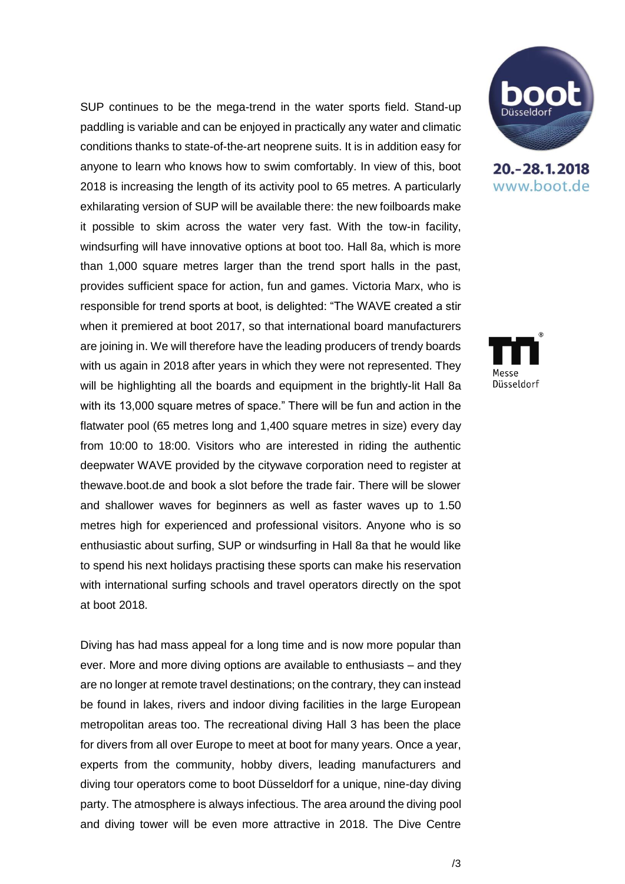SUP continues to be the mega-trend in the water sports field. Stand-up paddling is variable and can be enjoyed in practically any water and climatic conditions thanks to state-of-the-art neoprene suits. It is in addition easy for anyone to learn who knows how to swim comfortably. In view of this, boot 2018 is increasing the length of its activity pool to 65 metres. A particularly exhilarating version of SUP will be available there: the new foilboards make it possible to skim across the water very fast. With the tow-in facility, windsurfing will have innovative options at boot too. Hall 8a, which is more than 1,000 square metres larger than the trend sport halls in the past, provides sufficient space for action, fun and games. Victoria Marx, who is responsible for trend sports at boot, is delighted: "The WAVE created a stir when it premiered at boot 2017, so that international board manufacturers are joining in. We will therefore have the leading producers of trendy boards with us again in 2018 after years in which they were not represented. They will be highlighting all the boards and equipment in the brightly-lit Hall 8a with its 13,000 square metres of space." There will be fun and action in the flatwater pool (65 metres long and 1,400 square metres in size) every day from 10:00 to 18:00. Visitors who are interested in riding the authentic deepwater WAVE provided by the citywave corporation need to register at thewave.boot.de and book a slot before the trade fair. There will be slower and shallower waves for beginners as well as faster waves up to 1.50 metres high for experienced and professional visitors. Anyone who is so enthusiastic about surfing, SUP or windsurfing in Hall 8a that he would like to spend his next holidays practising these sports can make his reservation with international surfing schools and travel operators directly on the spot at boot 2018.

Diving has had mass appeal for a long time and is now more popular than ever. More and more diving options are available to enthusiasts – and they are no longer at remote travel destinations; on the contrary, they can instead be found in lakes, rivers and indoor diving facilities in the large European metropolitan areas too. The recreational diving Hall 3 has been the place for divers from all over Europe to meet at boot for many years. Once a year, experts from the community, hobby divers, leading manufacturers and diving tour operators come to boot Düsseldorf for a unique, nine-day diving party. The atmosphere is always infectious. The area around the diving pool and diving tower will be even more attractive in 2018. The Dive Centre



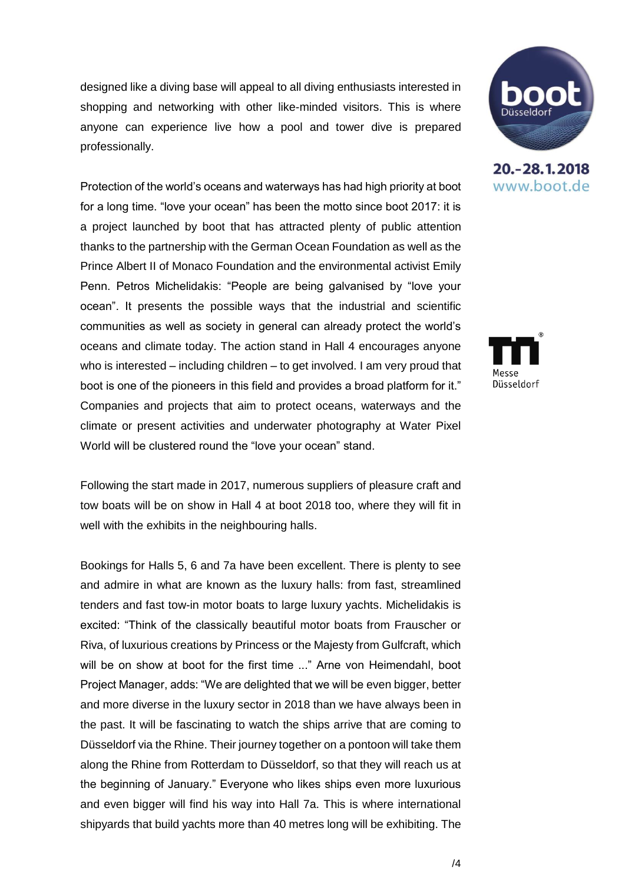designed like a diving base will appeal to all diving enthusiasts interested in shopping and networking with other like-minded visitors. This is where anyone can experience live how a pool and tower dive is prepared professionally.

Protection of the world's oceans and waterways has had high priority at boot for a long time. "love your ocean" has been the motto since boot 2017: it is a project launched by boot that has attracted plenty of public attention thanks to the partnership with the German Ocean Foundation as well as the Prince Albert II of Monaco Foundation and the environmental activist Emily Penn. Petros Michelidakis: "People are being galvanised by "love your ocean". It presents the possible ways that the industrial and scientific communities as well as society in general can already protect the world's oceans and climate today. The action stand in Hall 4 encourages anyone who is interested – including children – to get involved. I am very proud that boot is one of the pioneers in this field and provides a broad platform for it." Companies and projects that aim to protect oceans, waterways and the climate or present activities and underwater photography at Water Pixel World will be clustered round the "love your ocean" stand.

Following the start made in 2017, numerous suppliers of pleasure craft and tow boats will be on show in Hall 4 at boot 2018 too, where they will fit in well with the exhibits in the neighbouring halls.

Bookings for Halls 5, 6 and 7a have been excellent. There is plenty to see and admire in what are known as the luxury halls: from fast, streamlined tenders and fast tow-in motor boats to large luxury yachts. Michelidakis is excited: "Think of the classically beautiful motor boats from Frauscher or Riva, of luxurious creations by Princess or the Majesty from Gulfcraft, which will be on show at boot for the first time ..." Arne von Heimendahl, boot Project Manager, adds: "We are delighted that we will be even bigger, better and more diverse in the luxury sector in 2018 than we have always been in the past. It will be fascinating to watch the ships arrive that are coming to Düsseldorf via the Rhine. Their journey together on a pontoon will take them along the Rhine from Rotterdam to Düsseldorf, so that they will reach us at the beginning of January." Everyone who likes ships even more luxurious and even bigger will find his way into Hall 7a. This is where international shipyards that build yachts more than 40 metres long will be exhibiting. The



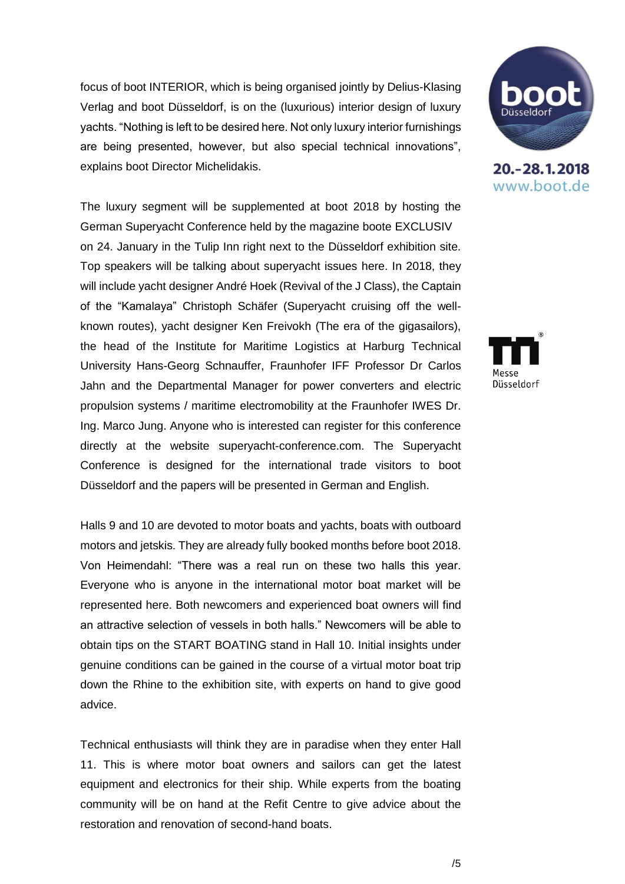focus of boot INTERIOR, which is being organised jointly by Delius-Klasing Verlag and boot Düsseldorf, is on the (luxurious) interior design of luxury yachts. "Nothing is left to be desired here. Not only luxury interior furnishings are being presented, however, but also special technical innovations", explains boot Director Michelidakis.

The luxury segment will be supplemented at boot 2018 by hosting the German Superyacht Conference held by the magazine boote EXCLUSIV on 24. January in the Tulip Inn right next to the Düsseldorf exhibition site. Top speakers will be talking about superyacht issues here. In 2018, they will include yacht designer André Hoek (Revival of the J Class), the Captain of the "Kamalaya" Christoph Schäfer (Superyacht cruising off the wellknown routes), yacht designer Ken Freivokh (The era of the gigasailors), the head of the Institute for Maritime Logistics at Harburg Technical University Hans-Georg Schnauffer, Fraunhofer IFF Professor Dr Carlos Jahn and the Departmental Manager for power converters and electric propulsion systems / maritime electromobility at the Fraunhofer IWES Dr. Ing. Marco Jung. Anyone who is interested can register for this conference directly at the website superyacht-conference.com. The Superyacht Conference is designed for the international trade visitors to boot Düsseldorf and the papers will be presented in German and English.

Halls 9 and 10 are devoted to motor boats and yachts, boats with outboard motors and jetskis. They are already fully booked months before boot 2018. Von Heimendahl: "There was a real run on these two halls this year. Everyone who is anyone in the international motor boat market will be represented here. Both newcomers and experienced boat owners will find an attractive selection of vessels in both halls." Newcomers will be able to obtain tips on the START BOATING stand in Hall 10. Initial insights under genuine conditions can be gained in the course of a virtual motor boat trip down the Rhine to the exhibition site, with experts on hand to give good advice.

Technical enthusiasts will think they are in paradise when they enter Hall 11. This is where motor boat owners and sailors can get the latest equipment and electronics for their ship. While experts from the boating community will be on hand at the Refit Centre to give advice about the restoration and renovation of second-hand boats.



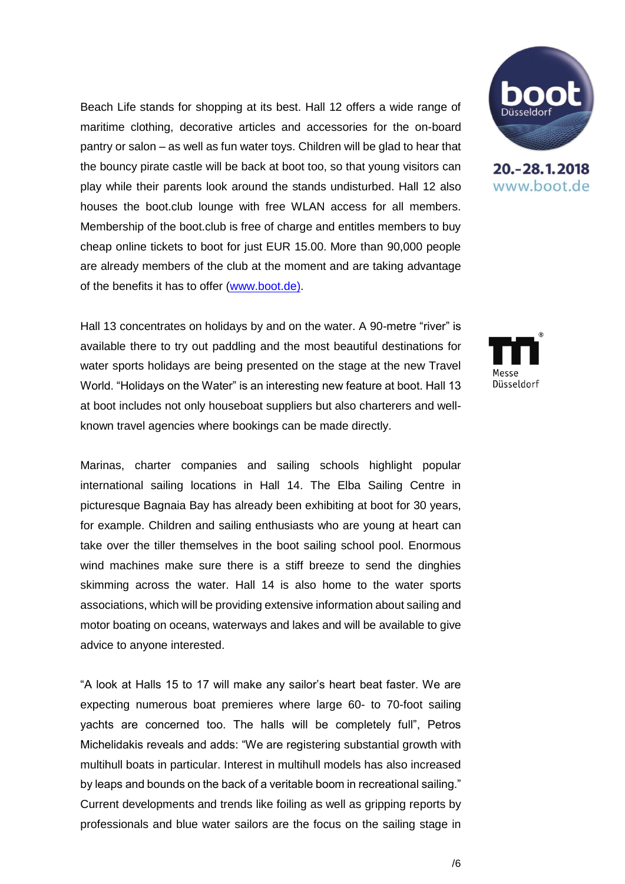Beach Life stands for shopping at its best. Hall 12 offers a wide range of maritime clothing, decorative articles and accessories for the on-board pantry or salon – as well as fun water toys. Children will be glad to hear that the bouncy pirate castle will be back at boot too, so that young visitors can play while their parents look around the stands undisturbed. Hall 12 also houses the boot.club lounge with free WLAN access for all members. Membership of the boot.club is free of charge and entitles members to buy cheap online tickets to boot for just EUR 15.00. More than 90,000 people are already members of the club at the moment and are taking advantage of the benefits it has to offer [\(www.boot.de\)](http://www.boot.de/).

Hall 13 concentrates on holidays by and on the water. A 90-metre "river" is available there to try out paddling and the most beautiful destinations for water sports holidays are being presented on the stage at the new Travel World. "Holidays on the Water" is an interesting new feature at boot. Hall 13 at boot includes not only houseboat suppliers but also charterers and wellknown travel agencies where bookings can be made directly.

Marinas, charter companies and sailing schools highlight popular international sailing locations in Hall 14. The Elba Sailing Centre in picturesque Bagnaia Bay has already been exhibiting at boot for 30 years, for example. Children and sailing enthusiasts who are young at heart can take over the tiller themselves in the boot sailing school pool. Enormous wind machines make sure there is a stiff breeze to send the dinghies skimming across the water. Hall 14 is also home to the water sports associations, which will be providing extensive information about sailing and motor boating on oceans, waterways and lakes and will be available to give advice to anyone interested.

"A look at Halls 15 to 17 will make any sailor's heart beat faster. We are expecting numerous boat premieres where large 60- to 70-foot sailing yachts are concerned too. The halls will be completely full", Petros Michelidakis reveals and adds: "We are registering substantial growth with multihull boats in particular. Interest in multihull models has also increased by leaps and bounds on the back of a veritable boom in recreational sailing." Current developments and trends like foiling as well as gripping reports by professionals and blue water sailors are the focus on the sailing stage in



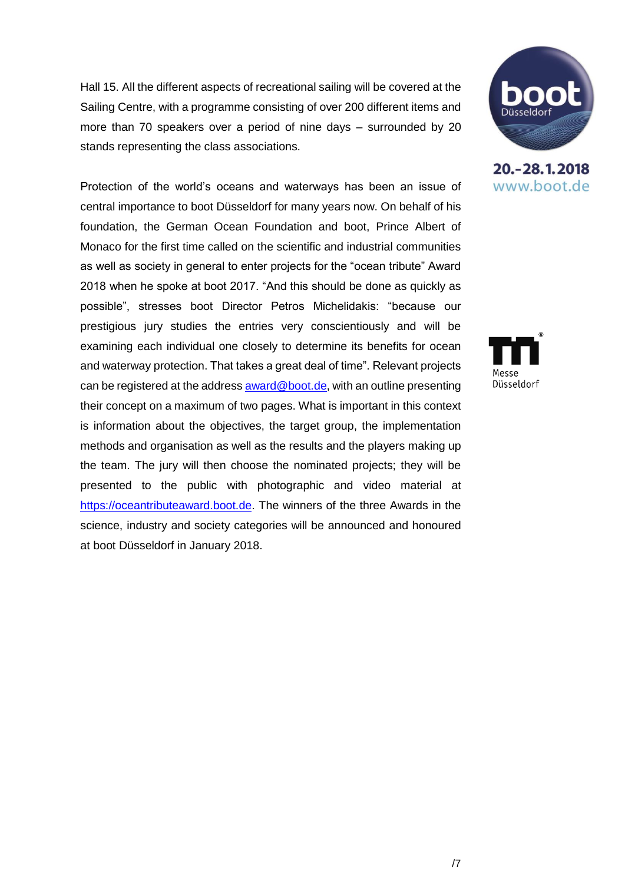Hall 15. All the different aspects of recreational sailing will be covered at the Sailing Centre, with a programme consisting of over 200 different items and more than 70 speakers over a period of nine days – surrounded by 20 stands representing the class associations.

Protection of the world's oceans and waterways has been an issue of central importance to boot Düsseldorf for many years now. On behalf of his foundation, the German Ocean Foundation and boot, Prince Albert of Monaco for the first time called on the scientific and industrial communities as well as society in general to enter projects for the "ocean tribute" Award 2018 when he spoke at boot 2017. "And this should be done as quickly as possible", stresses boot Director Petros Michelidakis: "because our prestigious jury studies the entries very conscientiously and will be examining each individual one closely to determine its benefits for ocean and waterway protection. That takes a great deal of time". Relevant projects can be registered at the addres[s award@boot.de,](mailto:award@boot.de) with an outline presenting their concept on a maximum of two pages. What is important in this context is information about the objectives, the target group, the implementation methods and organisation as well as the results and the players making up the team. The jury will then choose the nominated projects; they will be presented to the public with photographic and video material at [https://oceantributeaward.boot.de.](https://oceantributeaward.boot.de/) The winners of the three Awards in the science, industry and society categories will be announced and honoured at boot Düsseldorf in January 2018.